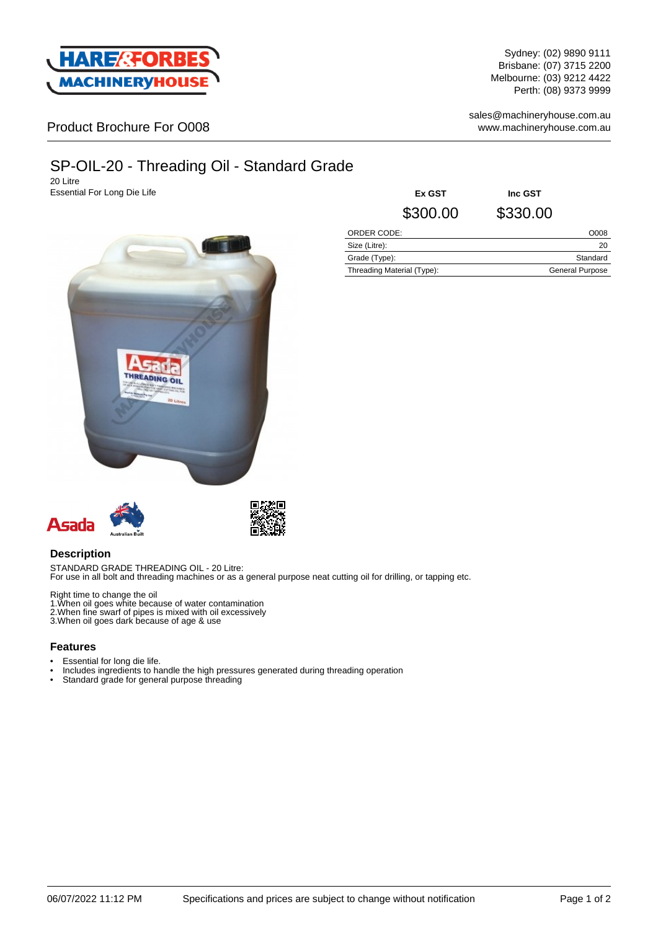

Sydney: (02) 9890 9111 Brisbane: (07) 3715 2200 Melbourne: (03) 9212 4422 Perth: (08) 9373 9999

sales@machineryhouse.com.au www.machineryhouse.com.au

## Product Brochure For O008

# SP-OIL-20 - Threading Oil - Standard Grade

20 Litre **Essential For Long Die Life** 



| Ex GST      | Inc GST  |      |
|-------------|----------|------|
| \$300.00    | \$330.00 |      |
| ORDER CODE: |          | O008 |

| -----------                |                        |
|----------------------------|------------------------|
| Size (Litre):              | 20                     |
| Grade (Type):              | Standard               |
| Threading Material (Type): | <b>General Purpose</b> |
|                            |                        |





### **Description**

STANDARD GRADE THREADING OIL - 20 Litre: For use in all bolt and threading machines or as a general purpose neat cutting oil for drilling, or tapping etc.

Right time to change the oil

- 1.When oil goes white because of water contamination 2.When fine swarf of pipes is mixed with oil excessively
- 3.When oil goes dark because of age & use

#### **Features**

- Essential for long die life.
- Includes ingredients to handle the high pressures generated during threading operation<br>• Standard grade for general purpose threading
- Standard grade for general purpose threading